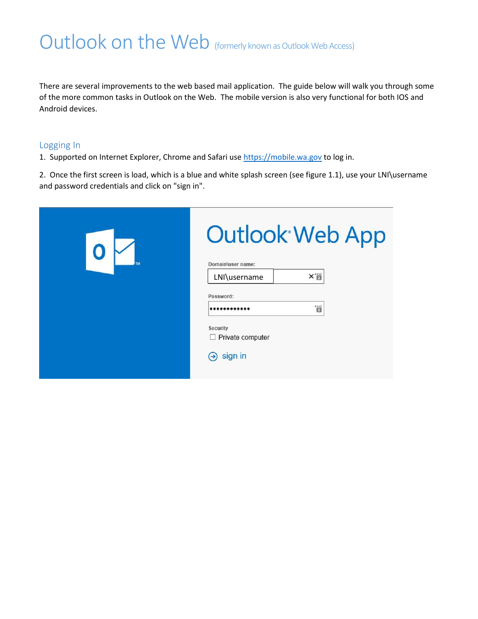# Outlook on the Web (formerly known as Outlook Web Access)

There are several improvements to the web based mail application. The guide below will walk you through some of the more common tasks in Outlook on the Web. The mobile version is also very functional for both IOS and Android devices.

#### Logging In

1. Supported on Internet Explorer, Chrome and Safari use [https://mobile.wa.gov](https://mobile.wa.gov/) to log in.

2. Once the first screen is load, which is a blue and white splash screen (see figure 1.1), use your LNI\username and password credentials and click on "sign in".

| TM | <b>Outlook Web App</b><br>Domain\user name:                                           |
|----|---------------------------------------------------------------------------------------|
|    | Xij<br>LNI\username                                                                   |
|    | Password:                                                                             |
|    | ä<br>                                                                                 |
|    | <b>Security</b><br>$\Box$ Private computer<br>sign in<br>$\left( \rightarrow \right)$ |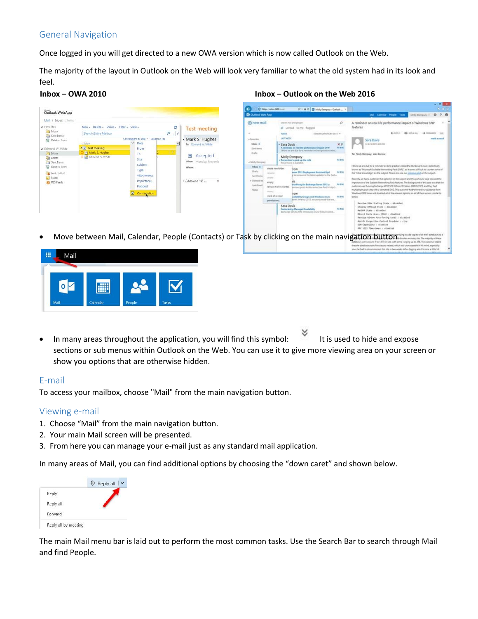# General Navigation

Once logged in you will get directed to a new OWA version which is now called Outlook on the Web.

The majority of the layout in Outlook on the Web will look very familiar to what the old system had in its look and feel.

| Mail 5 Inbox 1 Items                                                                                                                                                                                                             |                                                                                                                                         |                                                                                                                                                                         |                                                                                                                               |                                                                                                                                                                                                                                                                     |                                                                                                                                                                                                     |                                                                                                                                                                                                                                                                                                                                                                                                                                                                                                                                                                                   |                                                                                                        | Molly Demptoy = 0 ? @                                                                                                                                                                                                                                                                                                                                                                                                                                                                                                                                                                                                                                                                                                                                                                                                                                                                                                                                                                                                                                                                                                                                                                                                                                                                                                           |
|----------------------------------------------------------------------------------------------------------------------------------------------------------------------------------------------------------------------------------|-----------------------------------------------------------------------------------------------------------------------------------------|-------------------------------------------------------------------------------------------------------------------------------------------------------------------------|-------------------------------------------------------------------------------------------------------------------------------|---------------------------------------------------------------------------------------------------------------------------------------------------------------------------------------------------------------------------------------------------------------------|-----------------------------------------------------------------------------------------------------------------------------------------------------------------------------------------------------|-----------------------------------------------------------------------------------------------------------------------------------------------------------------------------------------------------------------------------------------------------------------------------------------------------------------------------------------------------------------------------------------------------------------------------------------------------------------------------------------------------------------------------------------------------------------------------------|--------------------------------------------------------------------------------------------------------|---------------------------------------------------------------------------------------------------------------------------------------------------------------------------------------------------------------------------------------------------------------------------------------------------------------------------------------------------------------------------------------------------------------------------------------------------------------------------------------------------------------------------------------------------------------------------------------------------------------------------------------------------------------------------------------------------------------------------------------------------------------------------------------------------------------------------------------------------------------------------------------------------------------------------------------------------------------------------------------------------------------------------------------------------------------------------------------------------------------------------------------------------------------------------------------------------------------------------------------------------------------------------------------------------------------------------------|
| <b>4</b> Favorites<br><b>Ca</b> Inbox<br><b>Ca</b> Sent Items<br><b>Deleted Items</b><br>Fdmund W. White<br><b>La</b> Inbox<br><b>Drafts</b><br>Sent Items<br>Deleted Items<br><b>B</b> Junk E-Mail<br>Notes<br><b>RSS Feeds</b> | New - Delete - Move - Filter - View -<br>Search Entire Mailbox<br>Older<br><b>4</b> Test meeting<br>V Mark S. Hughes<br>Edmund W. White | G<br>$P - 8$<br>Conversations by Date - Newest on Top<br>$\vee$ Date<br>From<br>To<br>Size:<br>Subject<br>Type:<br>Attachments<br>Importance<br>Flagged<br>Conversation | <b>Test meeting</b><br>· Mark S. Hughes<br>To: Edmund W. White<br>Accepted<br>When: Monday, Novemb<br>Where:<br>Edmund W<br>T | to new mail<br>$\sim$<br>a Favorites<br><b>Induce</b> &<br>Sent Name<br>Duha<br>a Molu Dempiey<br><b>Index</b> 8<br>Drifts<br>indocutive<br><b>Said Range</b><br>detector<br># Deletect Red<br>ematu<br><b>Ark Ingl</b><br><b>Notes</b><br>state of<br>permissions. | search Mail and people<br><b>AWCM</b><br>Last wind<br>- Sara Davis<br>Molly Dempsey<br>Sip previou is available.<br>singste Adm Nilder<br>semiput from Fauntileo.<br>mark all as read<br>Sara Davis | all unread to me. flagged<br>EDIVERSATIONS REDATE *<br>A teminder on real life performance strange of W.<br>I think we are due for a removal and boot practices relat<br>a Remonstrate to pick up the milk<br>arrer 2011 Deployment Avoitant Upd<br>to announce the latest updates to the Easts<br>less Pency for Exchange Server 2013 at<br>pressure panits in this series have Part (shopper).<br>autobility Groups and Wednes Amer-<br>Birdh America 2013, sar announced that auc-<br>Customizing Managed Availability<br>Exchange Sarvey 2012 introduces a new feature called | ø.<br>$X$ $P$<br><b>Jul L/M</b><br><b>Bit BZW</b><br>11/8/96<br><b>Focused</b><br>$-100,000$<br>FA R/M | A reminder on real life performance impact of Windows SNP<br><b>features</b><br>64.939.91<br>69- NRVALL - @ FORMARD - IHR<br>mark as read<br>Sara Davis<br>.<br>AKINGSTEROVIN<br>To: Molly Dempsey: Alex Dampse<br>I Morit we are due for a reminder on best practices related to Windows firstures collectively<br>forward as "Microsoft Scalable Nationwides Pack (SNR)", as it seems difficult to counter some of<br>the "tribal leva-indge" are the subject. Fleese also see our presidual goal on the subject.<br>Recordly we had a sustancer that called in on the subject and this particular case stressed the<br>importance of the Scalable Networking Pack Hutures. The background of this case was that the<br>systemer wes flunning Eastunge 2010:5R2 RI26 on Windows 2005 R2 SP1, and they had<br>multiple physical sites with a stretched DAG. This austomer had followed our guidance from<br>Windows 2003 times and disabled all of the relevant options on all of their senary, cimilar to<br>Bahbay<br>Receive-Side Scaling State : disabled<br>Chimmy Officed State : disabled<br>NetDNA State : disabled<br>Direct Cache Acess (OCA) - disabled<br>Receive Mindow Auto-Tuning Level : disobled<br>Ann On Corporation Control Provider : step<br>ECN Capability : disabled<br>RFC 1515 Timestames : disabled |

Move between Mail, Calendar, People (Contacts) or Task by clicking on the main navigation button



In many areas throughout the application, you will find this symbol: It is used to hide and expose sections or sub menus within Outlook on the Web. You can use it to give more viewing area on your screen or show you options that are otherwise hidden.

### E-mail

To access your mailbox, choose "Mail" from the main navigation button.

#### Viewing e-mail

- 1. Choose "Mail" from the main navigation button.
- 2. Your main Mail screen will be presented.
- 3. From here you can manage your e-mail just as any standard mail application.

In many areas of Mail, you can find additional options by choosing the "down caret" and shown below.

|           | Reply all |
|-----------|-----------|
| Reply     |           |
| Reply all |           |
| Forward   |           |

The main Mail menu bar is laid out to perform the most common tasks. Use the Search Bar to search through Mail and find People.

#### **Inbox – OWA 2010 Inbox – Outlook on the Web 2016**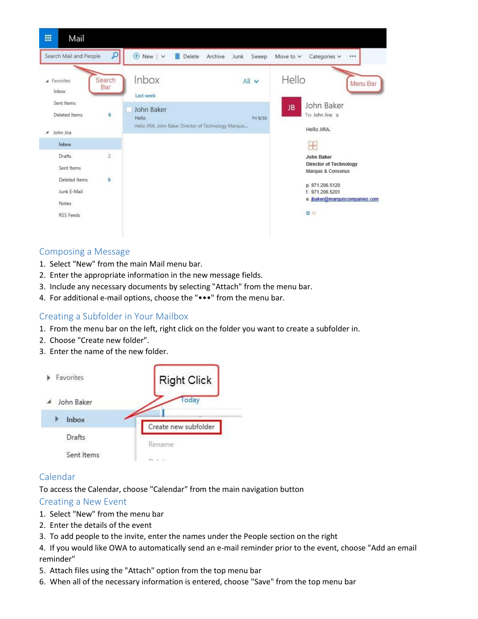

### Composing a Message

- 1. Select "New" from the main Mail menu bar.
- 2. Enter the appropriate information in the new message fields.
- 3. Include any necessary documents by selecting "Attach" from the menu bar.
- 4. For additional e-mail options, choose the "•••" from the menu bar.

### Creating a Subfolder in Your Mailbox

- 1. From the menu bar on the left, right click on the folder you want to create a subfolder in.
- 2. Choose "Create new folder".
- 3. Enter the name of the new folder.



### Calendar

To access the Calendar, choose "Calendar" from the main navigation button

#### Creating a New Event

- 1. Select "New" from the menu bar
- 2. Enter the details of the event
- 3. To add people to the invite, enter the names under the People section on the right
- 4. If you would like OWA to automatically send an e-mail reminder prior to the event, choose "Add an email reminder"
- 5. Attach files using the "Attach" option from the top menu bar
- 6. When all of the necessary information is entered, choose "Save" from the top menu bar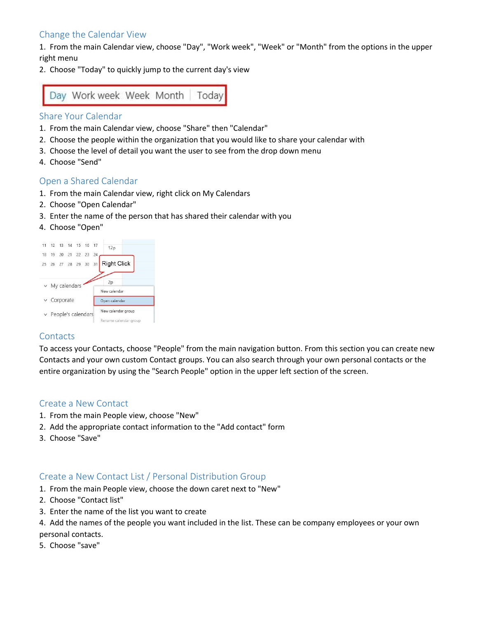# Change the Calendar View

1. From the main Calendar view, choose "Day", "Work week", "Week" or "Month" from the options in the upper right menu

2. Choose "Today" to quickly jump to the current day's view



#### Share Your Calendar

- 1. From the main Calendar view, choose "Share" then "Calendar"
- 2. Choose the people within the organization that you would like to share your calendar with
- 3. Choose the level of detail you want the user to see from the drop down menu
- 4. Choose "Send"

### Open a Shared Calendar

- 1. From the main Calendar view, right click on My Calendars
- 2. Choose "Open Calendar"
- 3. Enter the name of the person that has shared their calendar with you
- 4. Choose "Open"

|  |                       | 11 12 13 14 15 16 17       |  | 12p                                         |
|--|-----------------------|----------------------------|--|---------------------------------------------|
|  |                       | 18 19 20 21 22 23 24       |  |                                             |
|  |                       | 25  26  27  28  29  30  31 |  | <b>Right Click</b>                          |
|  | $~\vee~$ My calendars |                            |  | 2p<br>New calendar                          |
|  | Corporate             |                            |  | Open calendar                               |
|  |                       | $\vee$ People's calendars  |  | New calendar group<br>Rename calendar group |

### **Contacts**

To access your Contacts, choose "People" from the main navigation button. From this section you can create new Contacts and your own custom Contact groups. You can also search through your own personal contacts or the entire organization by using the "Search People" option in the upper left section of the screen.

#### Create a New Contact

- 1. From the main People view, choose "New"
- 2. Add the appropriate contact information to the "Add contact" form
- 3. Choose "Save"

### Create a New Contact List / Personal Distribution Group

- 1. From the main People view, choose the down caret next to "New"
- 2. Choose "Contact list"
- 3. Enter the name of the list you want to create
- 4. Add the names of the people you want included in the list. These can be company employees or your own personal contacts.
- 5. Choose "save"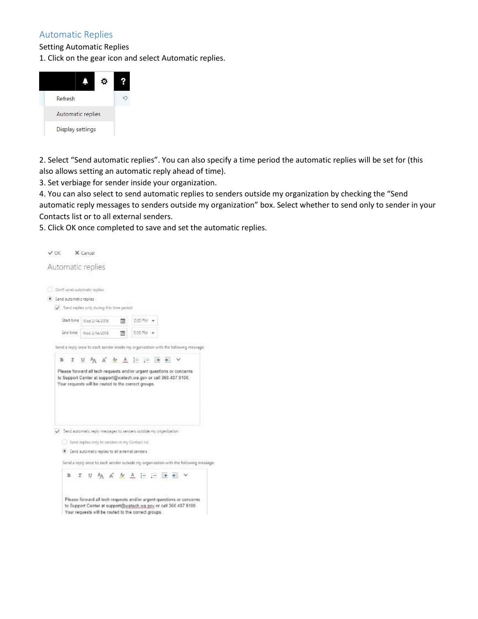## Automatic Replies

Setting Automatic Replies

1. Click on the gear icon and select Automatic replies.



2. Select "Send automatic replies". You can also specify a time period the automatic replies will be set for (this also allows setting an automatic reply ahead of time).

3. Set verbiage for sender inside your organization.

4. You can also select to send automatic replies to senders outside my organization by checking the "Send automatic reply messages to senders outside my organization" box. Select whether to send only to sender in your Contacts list or to all external senders.

5. Click OK once completed to save and set the automatic replies.

| Don't send automatic replies<br>Send automatic replies<br>Send replies only during this time period<br>2:00 PM -<br>Start time<br>Wed 2/14/2018<br>π<br>End time<br>5:00 PM<br>Wed 2/14/2018<br>껿<br>Send a reply once to each sender inside my organization with the following message<br>U A A $M \triangleq \frac{1}{2}$ i $\Rightarrow$ $\Rightarrow$ $\Rightarrow$<br>в<br>Please forward all tech requests and/or urgent questions or concerns<br>to Support Center at support@watech.wa.gov or call 360.407.9100.<br>Your requests will be routed to the correct groups. |  |
|---------------------------------------------------------------------------------------------------------------------------------------------------------------------------------------------------------------------------------------------------------------------------------------------------------------------------------------------------------------------------------------------------------------------------------------------------------------------------------------------------------------------------------------------------------------------------------|--|
|                                                                                                                                                                                                                                                                                                                                                                                                                                                                                                                                                                                 |  |
|                                                                                                                                                                                                                                                                                                                                                                                                                                                                                                                                                                                 |  |
|                                                                                                                                                                                                                                                                                                                                                                                                                                                                                                                                                                                 |  |
|                                                                                                                                                                                                                                                                                                                                                                                                                                                                                                                                                                                 |  |
|                                                                                                                                                                                                                                                                                                                                                                                                                                                                                                                                                                                 |  |
|                                                                                                                                                                                                                                                                                                                                                                                                                                                                                                                                                                                 |  |
|                                                                                                                                                                                                                                                                                                                                                                                                                                                                                                                                                                                 |  |

Send automatic replies to all eiternal senders

Send a reply once to each sender outside my organization with the following message: